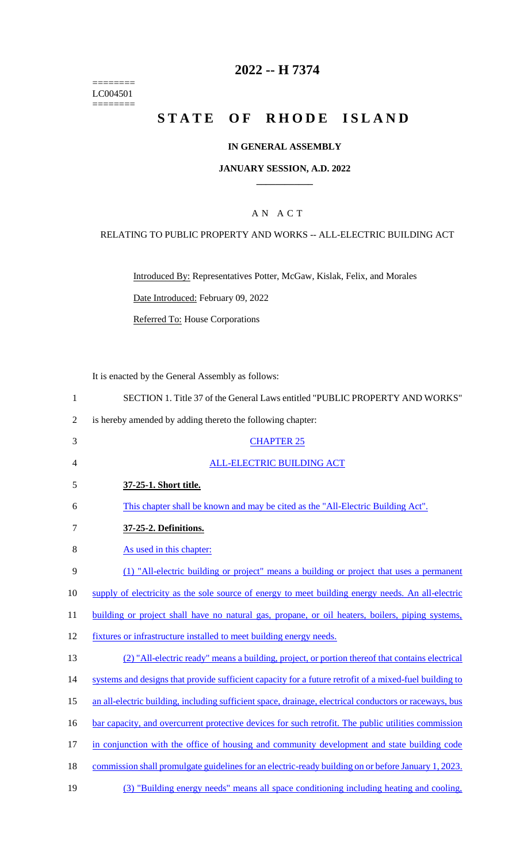======== LC004501  $=$ 

## **2022 -- H 7374**

# **STATE OF RHODE ISLAND**

## **IN GENERAL ASSEMBLY**

#### **JANUARY SESSION, A.D. 2022 \_\_\_\_\_\_\_\_\_\_\_\_**

## A N A C T

#### RELATING TO PUBLIC PROPERTY AND WORKS -- ALL-ELECTRIC BUILDING ACT

Introduced By: Representatives Potter, McGaw, Kislak, Felix, and Morales

Date Introduced: February 09, 2022

Referred To: House Corporations

It is enacted by the General Assembly as follows:

| $\mathbf{1}$   | SECTION 1. Title 37 of the General Laws entitled "PUBLIC PROPERTY AND WORKS"                           |
|----------------|--------------------------------------------------------------------------------------------------------|
| $\overline{2}$ | is hereby amended by adding thereto the following chapter:                                             |
| 3              | <b>CHAPTER 25</b>                                                                                      |
| $\overline{4}$ | <b>ALL-ELECTRIC BUILDING ACT</b>                                                                       |
| 5              | 37-25-1. Short title.                                                                                  |
| 6              | This chapter shall be known and may be cited as the "All-Electric Building Act".                       |
| $\tau$         | 37-25-2. Definitions.                                                                                  |
| 8              | As used in this chapter:                                                                               |
| 9              | (1) "All-electric building or project" means a building or project that uses a permanent               |
| 10             | supply of electricity as the sole source of energy to meet building energy needs. An all-electric      |
| 11             | building or project shall have no natural gas, propane, or oil heaters, boilers, piping systems,       |
| 12             | fixtures or infrastructure installed to meet building energy needs.                                    |
| 13             | (2) "All-electric ready" means a building, project, or portion thereof that contains electrical        |
| 14             | systems and designs that provide sufficient capacity for a future retrofit of a mixed-fuel building to |
| 15             | an all-electric building, including sufficient space, drainage, electrical conductors or raceways, bus |
| 16             | bar capacity, and overcurrent protective devices for such retrofit. The public utilities commission    |
| 17             | in conjunction with the office of housing and community development and state building code            |
| 18             | commission shall promulgate guidelines for an electric-ready building on or before January 1, 2023.    |
| 19             | (3) "Building energy needs" means all space conditioning including heating and cooling,                |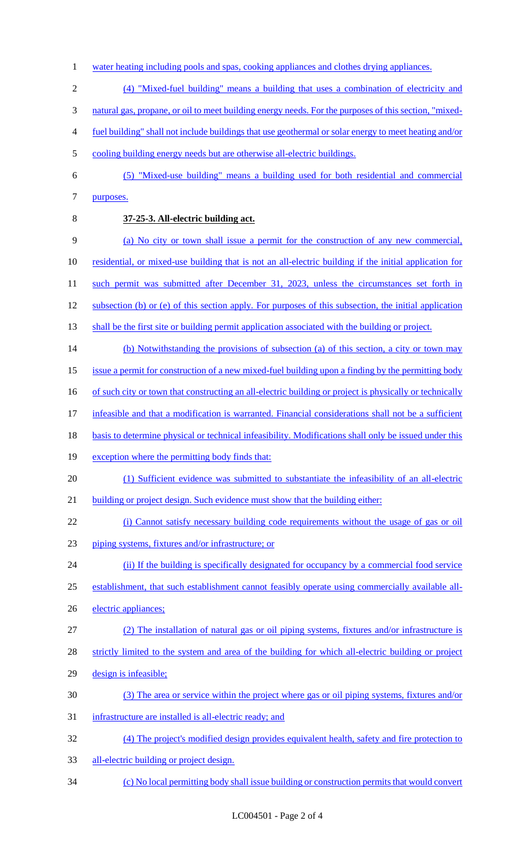- 1 water heating including pools and spas, cooking appliances and clothes drying appliances.
- (4) "Mixed-fuel building" means a building that uses a combination of electricity and
- natural gas, propane, or oil to meet building energy needs. For the purposes of this section, "mixed-
- fuel building" shall not include buildings that use geothermal or solar energy to meet heating and/or
- cooling building energy needs but are otherwise all-electric buildings.
- (5) "Mixed-use building" means a building used for both residential and commercial purposes.
- 

## **37-25-3. All-electric building act.**

- (a) No city or town shall issue a permit for the construction of any new commercial,
- residential, or mixed-use building that is not an all-electric building if the initial application for
- 11 such permit was submitted after December 31, 2023, unless the circumstances set forth in
- subsection (b) or (e) of this section apply. For purposes of this subsection, the initial application
- 13 shall be the first site or building permit application associated with the building or project.
- 14 (b) Notwithstanding the provisions of subsection (a) of this section, a city or town may
- issue a permit for construction of a new mixed-fuel building upon a finding by the permitting body
- 16 of such city or town that constructing an all-electric building or project is physically or technically
- infeasible and that a modification is warranted. Financial considerations shall not be a sufficient
- 18 basis to determine physical or technical infeasibility. Modifications shall only be issued under this
- 19 exception where the permitting body finds that:
- (1) Sufficient evidence was submitted to substantiate the infeasibility of an all-electric
- 21 building or project design. Such evidence must show that the building either:
- (i) Cannot satisfy necessary building code requirements without the usage of gas or oil
- piping systems, fixtures and/or infrastructure; or
- 24 (ii) If the building is specifically designated for occupancy by a commercial food service
- establishment, that such establishment cannot feasibly operate using commercially available all-
- electric appliances;
- (2) The installation of natural gas or oil piping systems, fixtures and/or infrastructure is
- strictly limited to the system and area of the building for which all-electric building or project
- design is infeasible;
- (3) The area or service within the project where gas or oil piping systems, fixtures and/or
- infrastructure are installed is all-electric ready; and
- (4) The project's modified design provides equivalent health, safety and fire protection to
- 33 all-electric building or project design.
- (c) No local permitting body shall issue building or construction permits that would convert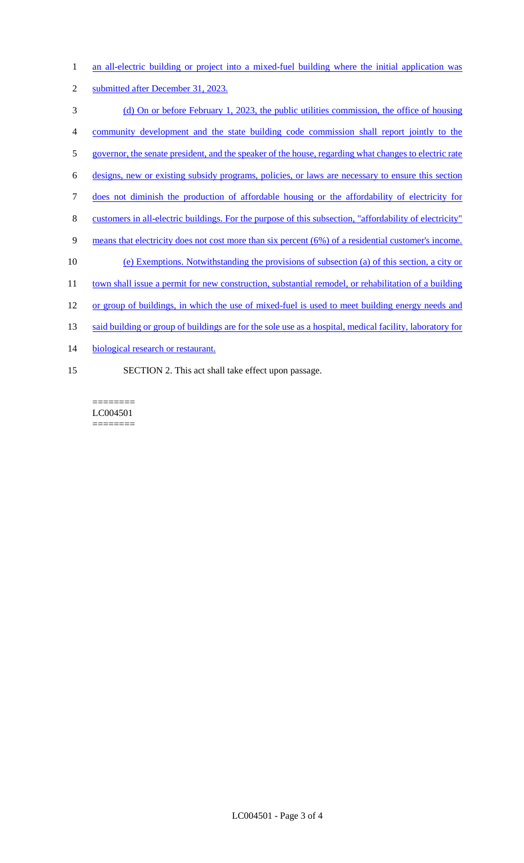| $\mathbf{1}$   | an all-electric building or project into a mixed-fuel building where the initial application was         |
|----------------|----------------------------------------------------------------------------------------------------------|
| $\overline{2}$ | submitted after December 31, 2023.                                                                       |
| 3              | (d) On or before February 1, 2023, the public utilities commission, the office of housing                |
| 4              | community development and the state building code commission shall report jointly to the                 |
| 5              | governor, the senate president, and the speaker of the house, regarding what changes to electric rate    |
| 6              | designs, new or existing subsidy programs, policies, or laws are necessary to ensure this section        |
| $\tau$         | does not diminish the production of affordable housing or the affordability of electricity for           |
| 8              | customers in all-electric buildings. For the purpose of this subsection, "affordability of electricity"  |
| 9              | means that electricity does not cost more than six percent (6%) of a residential customer's income.      |
| 10             | (e) Exemptions. Notwithstanding the provisions of subsection (a) of this section, a city or              |
| 11             | town shall issue a permit for new construction, substantial remodel, or rehabilitation of a building     |
| 12             | or group of buildings, in which the use of mixed-fuel is used to meet building energy needs and          |
| 13             | said building or group of buildings are for the sole use as a hospital, medical facility, laboratory for |
| 14             | biological research or restaurant.                                                                       |
| 15             | SECTION 2. This act shall take effect upon passage.                                                      |

======== LC004501  $\qquad \qquad \overline{\qquad \qquad }=\qquad \qquad \overline{\qquad \qquad }=\qquad \qquad \overline{\qquad \qquad }=\qquad \qquad \overline{\qquad \qquad }=\qquad \qquad \overline{\qquad \qquad }=\qquad \qquad \overline{\qquad \qquad }=\qquad \qquad \overline{\qquad \qquad }=\qquad \qquad \overline{\qquad \qquad }=\qquad \qquad \overline{\qquad \qquad }=\qquad \qquad \overline{\qquad \qquad }=\qquad \qquad \overline{\qquad \qquad }=\qquad \qquad \overline{\qquad \qquad }=\qquad \qquad \overline{\qquad \qquad }=\qquad \qquad \overline{\qquad$